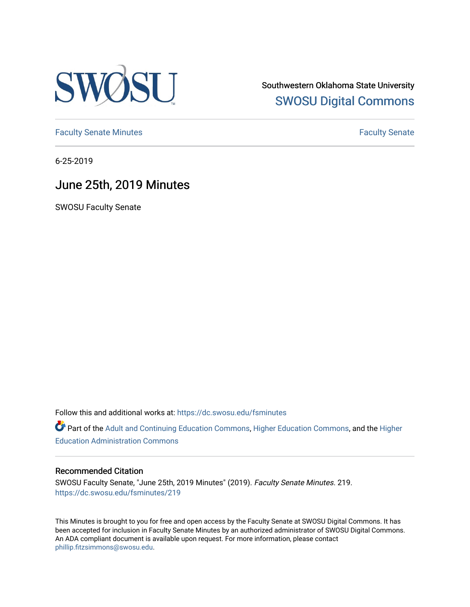

Southwestern Oklahoma State University [SWOSU Digital Commons](https://dc.swosu.edu/) 

[Faculty Senate Minutes](https://dc.swosu.edu/fsminutes) **Faculty** Senate Minutes

6-25-2019

## June 25th, 2019 Minutes

SWOSU Faculty Senate

Follow this and additional works at: [https://dc.swosu.edu/fsminutes](https://dc.swosu.edu/fsminutes?utm_source=dc.swosu.edu%2Ffsminutes%2F219&utm_medium=PDF&utm_campaign=PDFCoverPages) 

Part of the [Adult and Continuing Education Commons,](http://network.bepress.com/hgg/discipline/1375?utm_source=dc.swosu.edu%2Ffsminutes%2F219&utm_medium=PDF&utm_campaign=PDFCoverPages) [Higher Education Commons,](http://network.bepress.com/hgg/discipline/1245?utm_source=dc.swosu.edu%2Ffsminutes%2F219&utm_medium=PDF&utm_campaign=PDFCoverPages) and the [Higher](http://network.bepress.com/hgg/discipline/791?utm_source=dc.swosu.edu%2Ffsminutes%2F219&utm_medium=PDF&utm_campaign=PDFCoverPages) [Education Administration Commons](http://network.bepress.com/hgg/discipline/791?utm_source=dc.swosu.edu%2Ffsminutes%2F219&utm_medium=PDF&utm_campaign=PDFCoverPages) 

#### Recommended Citation

SWOSU Faculty Senate, "June 25th, 2019 Minutes" (2019). Faculty Senate Minutes. 219. [https://dc.swosu.edu/fsminutes/219](https://dc.swosu.edu/fsminutes/219?utm_source=dc.swosu.edu%2Ffsminutes%2F219&utm_medium=PDF&utm_campaign=PDFCoverPages) 

This Minutes is brought to you for free and open access by the Faculty Senate at SWOSU Digital Commons. It has been accepted for inclusion in Faculty Senate Minutes by an authorized administrator of SWOSU Digital Commons. An ADA compliant document is available upon request. For more information, please contact [phillip.fitzsimmons@swosu.edu](mailto:phillip.fitzsimmons@swosu.edu).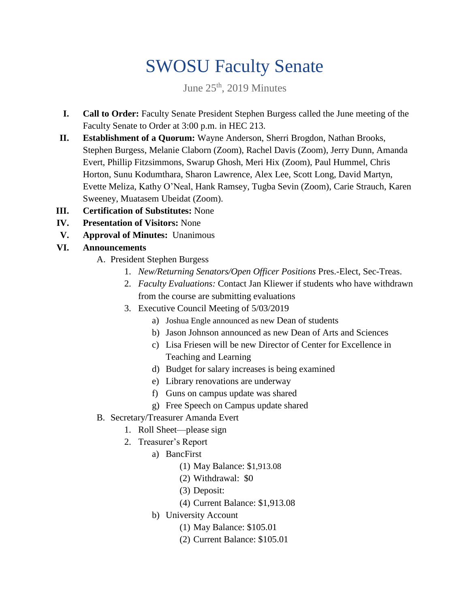# SWOSU Faculty Senate

June  $25<sup>th</sup>$ , 2019 Minutes

- **I. Call to Order:** Faculty Senate President Stephen Burgess called the June meeting of the Faculty Senate to Order at 3:00 p.m. in HEC 213.
- **II. Establishment of a Quorum:** Wayne Anderson, Sherri Brogdon, Nathan Brooks, Stephen Burgess, Melanie Claborn (Zoom), Rachel Davis (Zoom), Jerry Dunn, Amanda Evert, Phillip Fitzsimmons, Swarup Ghosh, Meri Hix (Zoom), Paul Hummel, Chris Horton, Sunu Kodumthara, Sharon Lawrence, Alex Lee, Scott Long, David Martyn, Evette Meliza, Kathy O'Neal, Hank Ramsey, Tugba Sevin (Zoom), Carie Strauch, Karen Sweeney, Muatasem Ubeidat (Zoom).
- **III. Certification of Substitutes:** None
- **IV. Presentation of Visitors:** None
- **V. Approval of Minutes:** Unanimous
- **VI. Announcements**
	- A. President Stephen Burgess
		- 1. *New/Returning Senators/Open Officer Positions* Pres.-Elect, Sec-Treas.
		- 2. *Faculty Evaluations:* Contact Jan Kliewer if students who have withdrawn from the course are submitting evaluations
		- 3. Executive Council Meeting of 5/03/2019
			- a) Joshua Engle announced as new Dean of students
			- b) Jason Johnson announced as new Dean of Arts and Sciences
			- c) Lisa Friesen will be new Director of Center for Excellence in Teaching and Learning
			- d) Budget for salary increases is being examined
			- e) Library renovations are underway
			- f) Guns on campus update was shared
			- g) Free Speech on Campus update shared
	- B. Secretary/Treasurer Amanda Evert
		- 1. Roll Sheet—please sign
		- 2. Treasurer's Report
			- a) BancFirst
				- (1) May Balance: \$1,913.08
				- (2) Withdrawal: \$0
				- (3) Deposit:
				- (4) Current Balance: \$1,913.08
			- b) University Account
				- (1) May Balance: \$105.01
				- (2) Current Balance: \$105.01